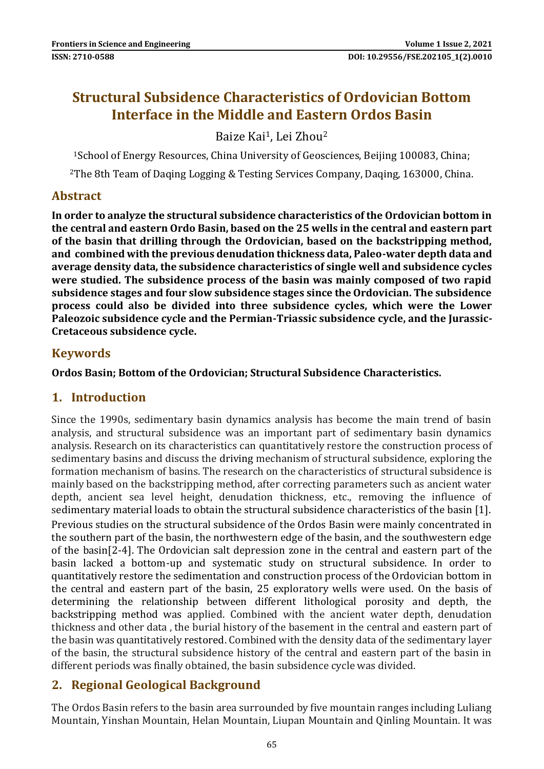# **Structural Subsidence Characteristics of Ordovician Bottom Interface in the Middle and Eastern Ordos Basin**

## Baize Kai1, Lei Zhou<sup>2</sup>

<sup>1</sup>School of Energy Resources, China University of Geosciences, Beijing 100083, China;

<sup>2</sup>The 8th Team of Daqing Logging & Testing Services Company, Daqing, 163000, China.

## **Abstract**

**In order to analyze the structural subsidence characteristics of the Ordovician bottom in the central and eastern Ordo Basin, based on the 25 wells in the central and eastern part of the basin that drilling through the Ordovician, based on the backstripping method, and combined with the previous denudation thickness data, Paleo-water depth data and average density data, the subsidence characteristics of single well and subsidence cycles were studied. The subsidence process of the basin was mainly composed of two rapid subsidence stages and four slow subsidence stages since the Ordovician. The subsidence process could also be divided into three subsidence cycles, which were the Lower Paleozoic subsidence cycle and the Permian-Triassic subsidence cycle, and the Jurassic-Cretaceous subsidence cycle.**

## **Keywords**

**Ordos Basin; Bottom of the Ordovician; Structural Subsidence Characteristics.**

## **1. Introduction**

Since the 1990s, sedimentary basin dynamics analysis has become the main trend of basin analysis, and structural subsidence was an important part of sedimentary basin dynamics analysis. Research on its characteristics can quantitatively restore the construction process of sedimentary basins and discuss the driving mechanism of structural subsidence, exploring the formation mechanism of basins. The research on the characteristics of structural subsidence is mainly based on the backstripping method, after correcting parameters such as ancient water depth, ancient sea level height, denudation thickness, etc., removing the influence of sedimentary material loads to obtain the structural subsidence characteristics of the basin [1]. Previous studies on the structural subsidence of the Ordos Basin were mainly concentrated in the southern part of the basin, the northwestern edge of the basin, and the southwestern edge of the basin[2-4]. The Ordovician salt depression zone in the central and eastern part of the basin lacked a bottom-up and systematic study on structural subsidence. In order to quantitatively restore the sedimentation and construction process of the Ordovician bottom in the central and eastern part of the basin, 25 exploratory wells were used. On the basis of determining the relationship between different lithological porosity and depth, the backstripping method was applied. Combined with the ancient water depth, denudation thickness and other data , the burial history of the basement in the central and eastern part of the basin was quantitatively restored. Combined with the density data of the sedimentary layer of the basin, the structural subsidence history of the central and eastern part of the basin in different periods was finally obtained, the basin subsidence cycle was divided.

## **2. Regional Geological Background**

The Ordos Basin refers to the basin area surrounded by five mountain ranges including Luliang Mountain, Yinshan Mountain, Helan Mountain, Liupan Mountain and Qinling Mountain. It was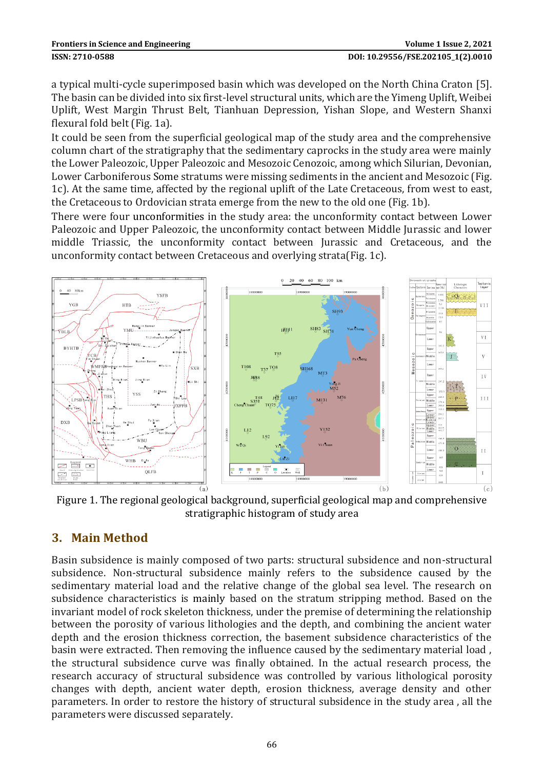a typical multi-cycle superimposed basin which was developed on the North China Craton [5]. The basin can be divided into six first-level structural units, which are the Yimeng Uplift, Weibei Uplift, West Margin Thrust Belt, Tianhuan Depression, Yishan Slope, and Western Shanxi flexural fold belt (Fig. 1a).

It could be seen from the superficial geological map of the study area and the comprehensive column chart of the stratigraphy that the sedimentary caprocks in the study area were mainly the Lower Paleozoic, Upper Paleozoic and Mesozoic Cenozoic, among which Silurian, Devonian, Lower Carboniferous Some stratums were missing sediments in the ancient and Mesozoic (Fig. 1c). At the same time, affected by the regional uplift of the Late Cretaceous, from west to east, the Cretaceous to Ordovician strata emerge from the new to the old one (Fig. 1b).

There were four unconformities in the study area: the unconformity contact between Lower Paleozoic and Upper Paleozoic, the unconformity contact between Middle Jurassic and lower middle Triassic, the unconformity contact between Jurassic and Cretaceous, and the unconformity contact between Cretaceous and overlying strata(Fig. 1c).



Figure 1. The regional geological background, superficial geological map and comprehensive stratigraphic histogram of study area

## **3. Main Method**

Basin subsidence is mainly composed of two parts: structural subsidence and non-structural subsidence. Non-structural subsidence mainly refers to the subsidence caused by the sedimentary material load and the relative change of the global sea level. The research on subsidence characteristics is mainly based on the stratum stripping method. Based on the invariant model of rock skeleton thickness, under the premise of determining the relationship between the porosity of various lithologies and the depth, and combining the ancient water depth and the erosion thickness correction, the basement subsidence characteristics of the basin were extracted. Then removing the influence caused by the sedimentary material load , the structural subsidence curve was finally obtained. In the actual research process, the research accuracy of structural subsidence was controlled by various lithological porosity changes with depth, ancient water depth, erosion thickness, average density and other parameters. In order to restore the history of structural subsidence in the study area , all the parameters were discussed separately.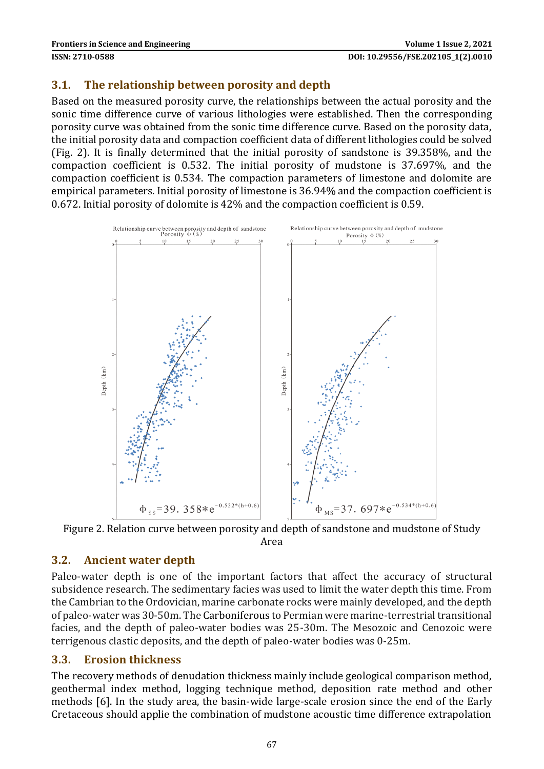### **3.1. The relationship between porosity and depth**

Based on the measured porosity curve, the relationships between the actual porosity and the sonic time difference curve of various lithologies were established. Then the corresponding porosity curve was obtained from the sonic time difference curve. Based on the porosity data, the initial porosity data and compaction coefficient data of different lithologies could be solved (Fig. 2). It is finally determined that the initial porosity of sandstone is 39.358%, and the compaction coefficient is 0.532. The initial porosity of mudstone is 37.697%, and the compaction coefficient is 0.534. The compaction parameters of limestone and dolomite are empirical parameters. Initial porosity of limestone is 36.94% and the compaction coefficient is 0.672. Initial porosity of dolomite is 42% and the compaction coefficient is 0.59.



Figure 2. Relation curve between porosity and depth of sandstone and mudstone of Study Area

#### **3.2. Ancient water depth**

Paleo-water depth is one of the important factors that affect the accuracy of structural subsidence research. The sedimentary facies was used to limit the water depth this time. From the Cambrian to the Ordovician, marine carbonate rocks were mainly developed, and the depth of paleo-water was 30-50m. The Carboniferous to Permian were marine-terrestrial transitional facies, and the depth of paleo-water bodies was 25-30m. The Mesozoic and Cenozoic were terrigenous clastic deposits, and the depth of paleo-water bodies was 0-25m.

#### **3.3. Erosion thickness**

The recovery methods of denudation thickness mainly include geological comparison method, geothermal index method, logging technique method, deposition rate method and other methods [6]. In the study area, the basin-wide large-scale erosion since the end of the Early Cretaceous should applie the combination of mudstone acoustic time difference extrapolation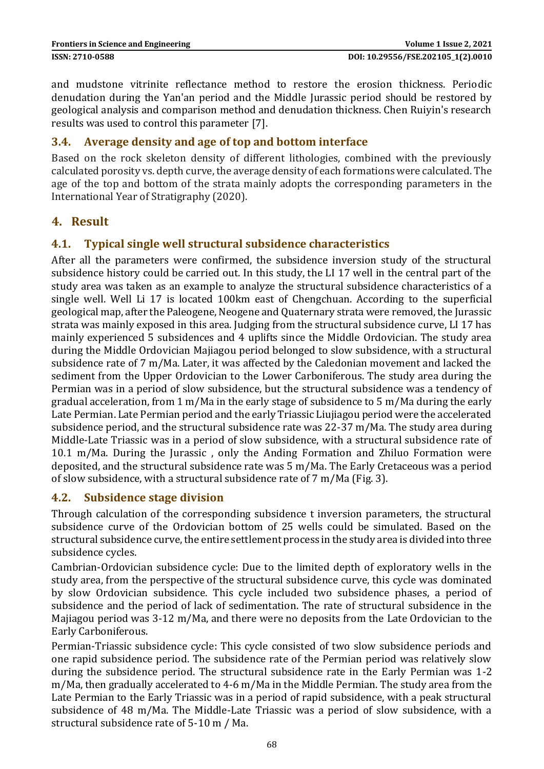and mudstone vitrinite reflectance method to restore the erosion thickness. Periodic denudation during the Yan'an period and the Middle Jurassic period should be restored by geological analysis and comparison method and denudation thickness. Chen Ruiyin's research results was used to control this parameter [7].

#### **3.4. Average density and age of top and bottom interface**

Based on the rock skeleton density of different lithologies, combined with the previously calculated porosity vs. depth curve, the average density of each formations were calculated. The age of the top and bottom of the strata mainly adopts the corresponding parameters in the International Year of Stratigraphy (2020).

### **4. Result**

## **4.1. Typical single well structural subsidence characteristics**

After all the parameters were confirmed, the subsidence inversion study of the structural subsidence history could be carried out. In this study, the LI 17 well in the central part of the study area was taken as an example to analyze the structural subsidence characteristics of a single well. Well Li 17 is located 100km east of Chengchuan. According to the superficial geological map, after the Paleogene, Neogene and Quaternary strata were removed, the Jurassic strata was mainly exposed in this area. Judging from the structural subsidence curve, LI 17 has mainly experienced 5 subsidences and 4 uplifts since the Middle Ordovician. The study area during the Middle Ordovician Majiagou period belonged to slow subsidence, with a structural subsidence rate of 7 m/Ma. Later, it was affected by the Caledonian movement and lacked the sediment from the Upper Ordovician to the Lower Carboniferous. The study area during the Permian was in a period of slow subsidence, but the structural subsidence was a tendency of gradual acceleration, from 1 m/Ma in the early stage of subsidence to 5 m/Ma during the early Late Permian. Late Permian period and the early Triassic Liujiagou period were the accelerated subsidence period, and the structural subsidence rate was 22-37 m/Ma. The study area during Middle-Late Triassic was in a period of slow subsidence, with a structural subsidence rate of 10.1 m/Ma. During the Jurassic , only the Anding Formation and Zhiluo Formation were deposited, and the structural subsidence rate was 5 m/Ma. The Early Cretaceous was a period of slow subsidence, with a structural subsidence rate of 7 m/Ma (Fig. 3).

#### **4.2. Subsidence stage division**

Through calculation of the corresponding subsidence t inversion parameters, the structural subsidence curve of the Ordovician bottom of 25 wells could be simulated. Based on the structural subsidence curve, the entire settlement process in the study area is divided into three subsidence cycles.

Cambrian-Ordovician subsidence cycle: Due to the limited depth of exploratory wells in the study area, from the perspective of the structural subsidence curve, this cycle was dominated by slow Ordovician subsidence. This cycle included two subsidence phases, a period of subsidence and the period of lack of sedimentation. The rate of structural subsidence in the Majiagou period was 3-12 m/Ma, and there were no deposits from the Late Ordovician to the Early Carboniferous.

Permian-Triassic subsidence cycle: This cycle consisted of two slow subsidence periods and one rapid subsidence period. The subsidence rate of the Permian period was relatively slow during the subsidence period. The structural subsidence rate in the Early Permian was 1-2 m/Ma, then gradually accelerated to 4-6 m/Ma in the Middle Permian. The study area from the Late Permian to the Early Triassic was in a period of rapid subsidence, with a peak structural subsidence of 48 m/Ma. The Middle-Late Triassic was a period of slow subsidence, with a structural subsidence rate of 5-10 m / Ma.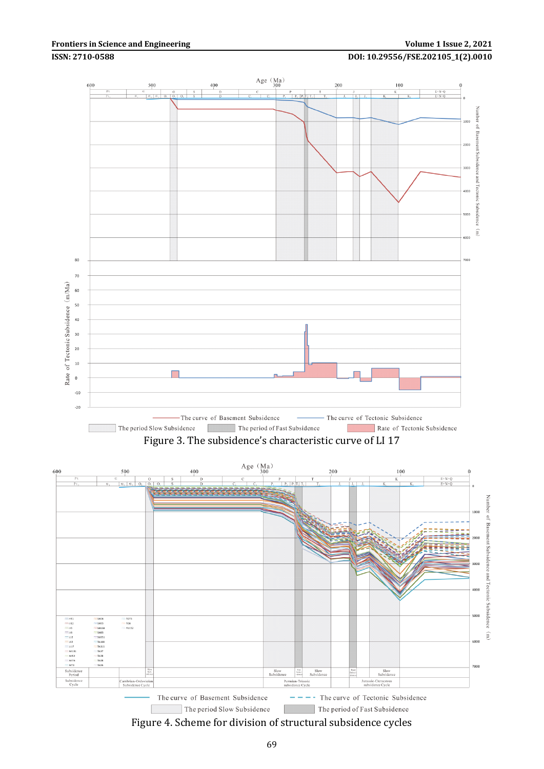#### **Frontiers in Science and Engineering Volume 1 Issue 2, 2021**

#### **ISSN: 2710-0588 DOI: 10.29556/FSE.202105\_1(2).0010**



Figure 3. The subsidence's characteristic curve of LI 17